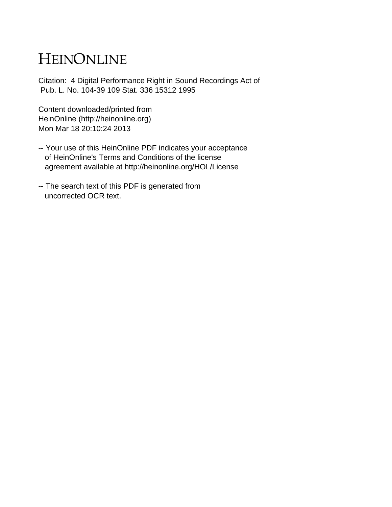# HEINONLINE

Citation: 4 Digital Performance Right in Sound Recordings Act of Pub. L. No. 104-39 109 Stat. 336 15312 1995

Content downloaded/printed from HeinOnline (http://heinonline.org) Mon Mar 18 20:10:24 2013

- -- Your use of this HeinOnline PDF indicates your acceptance of HeinOnline's Terms and Conditions of the license agreement available at http://heinonline.org/HOL/License
- -- The search text of this PDF is generated from uncorrected OCR text.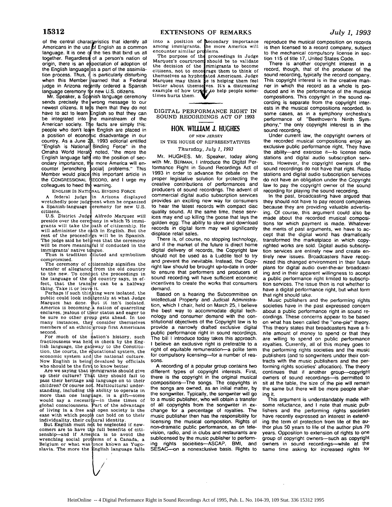of the central characteristics that identify all Americans in the use of English as a commor language. It is one of the ties that bind us all together. Regardless of a person's nation of origin, there is an expectation of adoption of the English language as a part of the assimilation process. Thus, if is particularly disturbing when this Member learned that a Federal judge in Arizona redently ordered a Spanish

language ceremony for new U.S. citizens.<br>Mr. Speaker, a Spånish language ceremony sends precisely the wrong message to our newest citizens. It tells them that they do not have to act to learn English so that they can be integrated into the mainstream of the American society. The facts are simply this: people who don't learn English are placed in a position of economic disadvantage in our country. As a June 28, 1993 editorial entitled "English is National Binding Force" in the Omaha World Heral $\ddot{\phi}$  noted, "the more the English language falls into the position of secondary importance, the more America will encounter [wrenching social] problems." This Member would place this important article in the CONGRESSIONAL \$ECORD, and I urge my colleagues to heed the warning.

ENGLISH IS NATIONAL BINDING FORCE

A federal judge in Arizona displayed<br>wretchedly poor judgment when he organized<br>a Spanish-language ceremony for new U.S. citizens.

U.S. District Judge Alfredo Marquez will preside over the ceremony in which 75 immigrants will take the **bath of citizenship. He** will administer the oath in English. But the rest of the proceedings will be in Spanish. The judge said he believes that the ceremony will be more meaningful if conducted in the immigrants' native tongue.<br>Thus is tradition diluted and symbolism

compromised.

The ceremony of citizenship signifies the transfer of allegiance from the old country to the new. To conduct the proceedings in the language of the  $q$ d country says, in effect, that the transfer can be a halfway thing. Take it or leave it.<br>Perhaps if such thinking were isolated, the

public could look indilgently at what Judge Marquez has done. But it isn't isolated. America is becoming 'a nation of quarreling enclaves, jealous of their status and eager to be sure no other group gets ahead. In too many instances, they consider themselves members of an ethnic group first Americans second.

For much of the nation's history, such fractiousness was held in check by the English language, the gateway to the Constitution, the courts, the equcational system, the economic system and the national culture. Now English is being devalued by officials who should be the first to know better.

Are we saying that immigrants should give up their culture? That they should fail to pass their heritage anti language on to their children? Of course not. Multicultural understanding, including the ability to operate in more than one language, is a gift-some would say a necessity-in these times of global consciousness. Part of the advantage of living in a free and open society is the ease with which people can hold on to their

individuality, their cultural identity. But English must nqt be neglected if newcomers are to have the full benefits of citizenship-and if America is to avoid the wrenching social proulems of a Canada, a Belgium or what was once known as Yugo-<br>slavia. The more the English language falls

into a position of among immigrants. encounter similar pro The purpose of thi **Secondary importance**<br>he more America will<br>blems.<br>proceedings in Judge

Marquez's courtroom the decision of the  $r$ mmigrants to become citizens, not to encourage them to think of themselves as hypherated Americans. Judge Marquez may think **he** is helping them feel<br>better about themse ves. It's a distressing better about themse ves. It's a distressing example of how trying to help people sometimes hurts them. should be to validate

DIGITAL PERFORMANCE RIGHT IN **SOUND** RECORDINGS **ACT** OF **1993**

### **HON. WILLIAM J. HUGHES**

#### OF **NEW JERSEY**

IN THE HOUSE OF REPRESENTATIVES *Thursday, July 1, 1993*

Mr. HUGHES. Mr. Speaker, today along with Mr. BERMAN, I introduce the Digital Performance Right in Sound Recordings Act of 1993 in order to advance the debate on the proper legislative solution for protecting the creative contributions of performances and producers of sound recordings. The advent of commercial digital audio subscription services provides an exciting new way for consumers to hear the latest records with compact disc quality sound. At the same time, these services may end up killing the goose that lays the golden egg: The ability to store and download records in digital form may well significantly displace retail sales.

There is, of course, no stopping technology, and if the market of the future is direct home digital delivery of records, the Copyright law should not be used as a Luddite tool to try and prevent the inevitable. Instead, the Copyright law should be brought up-to-date in order to ensure that performers and producers of sound recording will have sufficient economic incentives to create the works that consumers demand.

Based on a hearing the Subcommittee on Intellectual Property and Judicial Administration, which I chair, held on March 25, I believe the best way to accommodate digital technology and consumer demand with the constitutional objectives of the Copyright law is to provide a narrowly drafted exclusive digital public performance right in sound recordings. The bill I introduce today takes this approach. I believe an exclusive right is preferable to a right of equitable remuneration-a polite term for compulsory licensing-for a number of reasons.

A recording of a popular group contains two different types of copyright interests. First, there is the copyright in the original musical compositions-The songs. The copyrights in the songs are owned, as an initial matter, by the songwriter. Typically, the songwriter will go to a music publisher, who will obtain a transfer of all copyrights from the songwriter in exchange for a percentage of royalties. The music publisher then has the responsibility for licensing the musical composition. Rights of non-dramatic public performance, as on television, radio, and in clubs and restaurants are sublicensed by the music publisher to performing rights socieities-ASCAP, BMI, and SESAC-on a nonexclusive basis. Rights to reproduce the musical composition on records is then licensed to a record company, subject to the mechanical compulsory license in section 115 of title 17, United States Code.

There is another copyright interest in a record, though, that of the producer of the sound recording, typically the record company. This copyright interest is in the creative manner in which the record as a whole is produced and in the performance of the musical compositions. This copyright in the sound recording is separate from the copyright interests in the musical compositions recorded. In some cases, as in a symphony orchestra's performance of "Beethoven's Ninth Symphony," the only copyright interest is in the sound recording.

Under current law, the copyright owners of the recorded musical compositions enjoy an exclusive public performance right. They have the ability-and exercise it-to license radio stations and digital audio subscription services. However, the copyright owners of the sound recordings do not have that right. Radio stations and digital audio subscription services do not have an obligation under the Copyright law to pay the copyright owner of the sound recording for playing the sound recording.

In the past, broadcasting have argued that they should not have to pay record companies because they are providing valuable advertising. Of course, this argument could also be made about the recorded musical compositions for which payment is made. Whatever the merits of past arguments, we have to accept that the digital world has dramatically transformed the marketplace in which copyrighted works are sold. Digital audio subscription services are entirely new and create entirely new issues. Broadcasters have recognized this changed environment in their future plans for digital audio over-the-air broadcasting and in their apparent willingness to accept a public performance right limited to subscription services. The issue then is not whether to have a digital performance right, but what form that right should take.

Music publishers and the performing rights societies have in the past expressed concern about a public performance right in sound recordings. These concerns appear to-be based on what has been called the "one-pie" theory. This theory states that broadcasters have a finite amount of money to spend or that they are willing to spend on public performance royalties. Currently, all of this money goes to the performing rights societies and the music publishers (and to songwriters under their contracts with the music publishers and the performing rights societies' allocation). The theory continues that **it** another group--copyright owners of sound recordings-is permitted to sit at the table, the size of the pie will remain the same but there will be more people sharing it.

This argument is understandably made with some reluctance, and **I** note that music publishers and the performing rights societies have recently expressed an interest in extending the term of protection from life of the author plus 50 years to life of the author plus 70 years. Opposition to extension of rights to one group of copyright owners-such as copyright owners in sound recordings-while at the same time asking for increased rights for

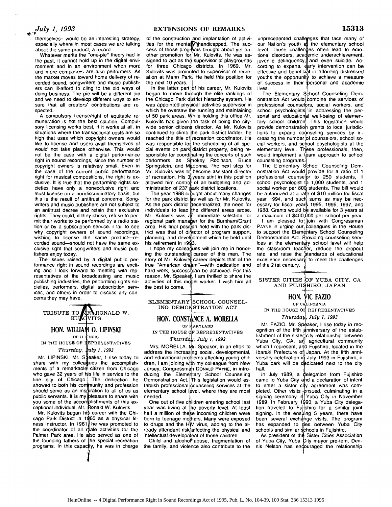## *July 1, 1993*

themselves--would be an interesting strategy, especially where in most cases we are talking about the same product, a record.

Whatever merits the "one-pie" theory had in the past, it cannot hold up in the digital environment and in an environment when more and more composers are also performers. As the market moves toward home delivery of recorded sound, songwriters and music publishers can ill-afford to cling to the old ways of doing business. The pie will be a different pie and we need to develop different ways to ensure that all creators' contributions are respected.

A compulsory license/right of equitable remuneration is not the best solution. Compulsory licensing works best, if it works at all, in situations where the transactional costs are so high that uses which copyright owners would like to license and users avail themselves of would not take place otherwise. This would not be the case with a digital performance right in sound recordings, since the number of copyright owners is relatively small. Even in the case of the current public performance right for musical compositions, the right is exclusive. It is true that the performing rights societies have only a nonexclusive right and must license on a nondiscriminatory basis, but this is the result of antitrust concerns. Songwriters and music publishers are not subject to an antitrust decree and retain their exclusive rights. They could, if they chose, refuse to permit their works to be performed by a radio station or by a subscription service. I fail to see why copyright owners of sound recordings, wishing to license the same product-recorded sound-should not have the same exclusive right that songwriters and music publishers enjoy today.

The issues raised by a digital public performance right in sound recordings are exciting and I look forward to meeting with representatives of the broadcasting and music publishing industries, the performing rights societies, performers, digital subscription services, and others in order to discuss any concerns they may have.

TRIBUTE TO **ARA RONALD W.**<br>KULOVITS

### **HON. WIHLIA 10. LLPINSKI**

OF *ILI* **INOIS** IN THE HOUSE OF **I EPRESENTATIVES** *Thursday, uly 1, 1993*

Mr. LIPINSKI. Mr. Speaker, I rise today to share with my colleagues the accomplishments of a remarkab who gave 32 years of **I** fine city of Chicago. The dedication he showed to both his con munity and profession should serve as an inspliration to all of us as public servants. It is my you some of the accon ceptional individual, Mr. Ronald W. Kulovits. citizen from Chicago s life in service to the )leasure to share with mplishments of this ex-

Mr. Kulovits began h cago Park District in 1 ness instructor. In 196 the coordinator of all Palmer Park area. He also served as one of the founding fathers of the special recreation programs. In this capacity, he was in charge **i** career with the Chi-60 as a physical fit-**I** he was promoted to ale activities for the

of the construction and implantation of activities for the menta *I* pandicapped. The success of those programs brought about yet another promotion for Mr. Kulovits. He was assigned to act as the supervisor of playgrounds for three Chicago districts. In 1969, Mr. Kulovits was promoted to supervisor of recreation at Mann Park. He held this position for the next 10 years.

In the latter part of his career, Mr. Kulovits began to move through the elite rankings of the Chicago Park district hierarchy system. He was appointed physical activities supervisor in which he oversaw the running and maintaining of 50 park areas. While holding this office Mr. Kulovits has given the task of being the citywide senior citizens director. As Mr. Kulovits continued to climb the park district ladder, he reached the title of recreation coordinator. He was responsible for the scheduling of all special events on park district property, being responsible for coordinating the concerts of such performers as Smokey Robinson, Bruce Springstein, and Madonna. The next step for Mr. Kulovits was to become assistant director of recreation. His  $3$  years stint in this position allowed him control of all budgeting and administration of 237 park district locations.

The year 1988 brought about many changes for the park district as well as for Mr. Kulovits. As the park district decentralized, the need for individuals to lead the different areas arose. Mr. Kulovits was  $d\hat{h}$  immediate selection for regional park manager for the Burnham/Grant area. His final position held with the park district was that of director of program support, planning, and development which he held until his retirement in 1993.

I hope my colleagues will join me in honoring the outstanding career of this man. The story of Mr. Kulovits career depicts that of the true "American dream"-with dedication and hard work, success can be achieved. For this reason, Mr. Speaker, I am thrilled to share the activities of this model worker. I wish him all the best to come.

ELEMENTARY SCHOOL COUNSEL-ING DEMONSTRATION ACT

### **HON. CONSTANCE A. MORELLA**

OF MARYLAND

IN THE HOUSE OF REPRESENTATIVES *Thursd* **,,** *July 1, 1993*

Mrs. MORELLA. Mr. Speaker, in an effort to address the increasing social, developmental, and educational problems affecting young children, I am joining with my colleague from New Jersey, Congressman DONALD PAYNE, in introducing the Elementary School Counseling Demonstration Act. This legislation would establish professional counseling services at the elementary school level, where they are most needed.

One out of five children entering school last year was living at **Ile** poverty level. At least half a million of these incoming children were born to teenage mothers. Many were exposed to drugs and the HIV virus, adding to the already attendant risk affecting the physical and intellectual development of these children.

Child and alcohol abuse, fragmentation of the family, and violence also contribute to the

unprecedented challenges that face many of our Nation's youth at the elementary school level. These challenges often lead to emotional disorders, academic underachievement, juvenile delinquency, and even suicide. According to experts, early intervention can be effective and beneficial in affording distressed youths the opportunity to achieve a measure of success in their personal and academic lives.

The Elementary School Counseling Demonstration Act would combine the services of professional counselors, social workers, and school psychologists in addressing the personal and educational well-being of elementary school children! This legislation would provide demonstration grants to local jurisdictions to expand coinseling services **by** increasing the number of counselors, school social workers, and school psychologists at the elementary level. These professionals, then, would implement a team approach to school counseling programs.

The Elementary School Counseling Demonstration Act would provide for a ratio of **1** professional counselor to 250 students, 1 school psychologist **19** 1,000 students, and 1 social worker per **80q** students. The bill would be authorized at a rate of \$10 million for fiscal year 1994, and such sums as may be necessary for fiscal years 1995, 1996, 1997, and 1988. Grants would be available for 3 years at a maximum of \$400,000 per school per year.

I am pleased to join with Congressman PAYNE in urging our Colleagues in the House to support the Elementary School Counseling Demonstration Act. Providing counseling services at the elementary school level will help the classroom teacher, reduce the dropout rate, and raise the standards of educational excellence necessary to meet the challenges of the 21st century.

SISTER CITIES OF YUBA CITY, CA AND FUJISHIRO, JAPAN

### **HON. VIC** FAZIO

OF CALIFORNIA

IN THE HOUSE OF REPRESENTATIVES

*Thursday, July 1, 1993*

Mr. FAZIO. Mr. Speaker, I rise today in recognition of the fifth anniversary of the establishment of the sister city relationship between Yuba City, CA, an agricultural community which I represent, and Fujishiro, located in the Ibaraki Prefecture of Japan. At the fifth anniversary celebration in July 1993 in Fujishiro, a Yuba park will be dedicated next to the city hall.

In July 1989, a delegation from Fujishiro came to Yuba City and a declaration of intent to enter a sister city agreement was completed. Other visits ensued, culminating in a signing ceremony in Yuba City in November 1989. In February 1 **90,** a Yuba City delegation traveled to Fullshiro for a similar joint signing. In the ensuling 5 years, there have been several exchange visits. The program has expanded to thes between Yuba City

schools and similar schools in Fujishiro.<br>As president of the Sister Cities Association of Yuba City, Yuba City mayor pro-tem, Dennis Nelson has endouraged the relationship